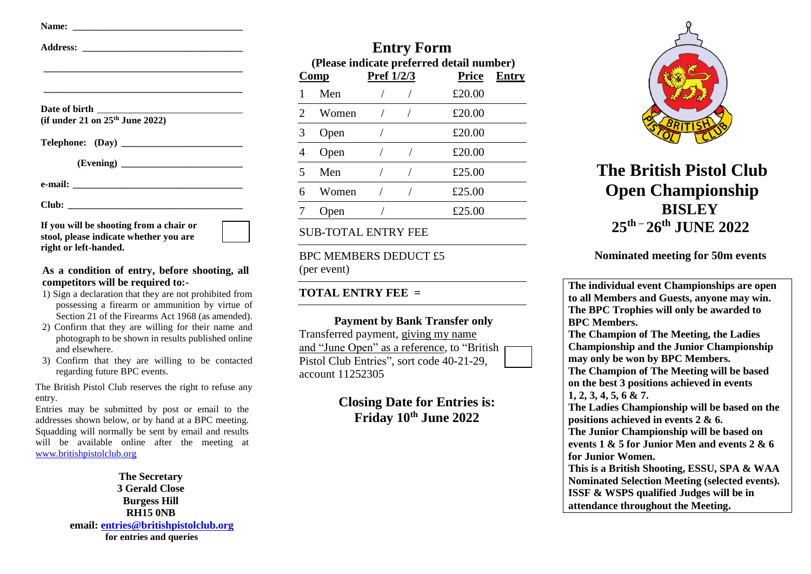| (if under 21 on $25th$ June 2022) |  |
|-----------------------------------|--|
|                                   |  |
|                                   |  |
|                                   |  |
|                                   |  |

**If you will be shooting from a chair or stool, please indicate whether you are right or left-handed.**

## **As a condition of entry, before shooting, all competitors will be required to:-**

- 1) Sign a declaration that they are not prohibited from possessing a firearm or ammunition by virtue of Section 21 of the Firearms Act 1968 (as amended).
- 2) Confirm that they are willing for their name and photograph to be shown in results published online and elsewhere.
- 3) Confirm that they are willing to be contacted regarding future BPC events.

The British Pistol Club reserves the right to refuse any entry.

Entries may be submitted by post or email to the addresses shown below, or by hand at a BPC meeting. Squadding will normally be sent by email and results will be available online after the meeting at [www.britishpistolclub.org](http://www.britishpistolclub.org/)

> **The Secretary 3 Gerald Close Burgess Hill RH15 0NB email: [entries@britishpistolclub.org](mailto:entries@britishpistolclub.org?subject=BPC%20Championships%202015%20Entry%20Form) for entries and queries**

| <b>Entry Form</b><br>(Please indicate preferred detail number) |       |            |  |              |              |  |
|----------------------------------------------------------------|-------|------------|--|--------------|--------------|--|
|                                                                | Comp  | Pref 1/2/3 |  | <b>Price</b> | <b>Entry</b> |  |
|                                                                | Men   |            |  | £20.00       |              |  |
| $\mathcal{D}_{\mathcal{L}}$                                    | Women |            |  | £20.00       |              |  |
| 3                                                              | Open  |            |  | £20.00       |              |  |
|                                                                | Open  |            |  | £20.00       |              |  |
| 5                                                              | Men   |            |  | £25.00       |              |  |
|                                                                | Women |            |  | £25.00       |              |  |
|                                                                | Open  |            |  | £25.00       |              |  |
|                                                                |       |            |  |              |              |  |

SUB-TOTAL ENTRY FEE

BPC MEMBERS DEDUCT £5 (per event)

**TOTAL ENTRY FEE =** 

**Payment by Bank Transfer only** Transferred payment, giving my name and "June Open" as a reference, to "British Pistol Club Entries", sort code 40-21-29, account 11252305

> **Closing Date for Entries is: Friday 10th June 2022**



**The British Pistol Club Open Championship BISLEY 25 th – 26 th JUNE 2022**

**Nominated meeting for 50m events**

**The individual event Championships are open to all Members and Guests, anyone may win. The BPC Trophies will only be awarded to BPC Members. The Champion of The Meeting, the Ladies Championship and the Junior Championship may only be won by BPC Members. The Champion of The Meeting will be based on the best 3 positions achieved in events 1, 2, 3, 4, 5, 6 & 7. The Ladies Championship will be based on the positions achieved in events 2 & 6. The Junior Championship will be based on events 1 & 5 for Junior Men and events 2 & 6 for Junior Women. This is a British Shooting, ESSU, SPA & WAA Nominated Selection Meeting (selected events). ISSF & WSPS qualified Judges will be in attendance throughout the Meeting.**